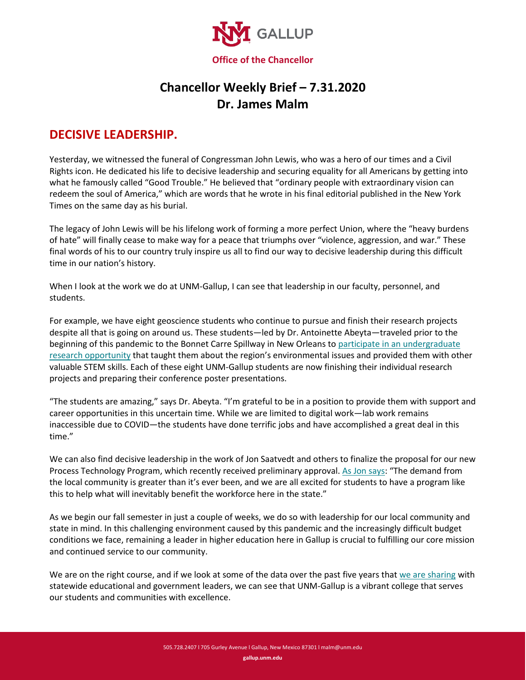

## **Chancellor Weekly Brief – 7.31.2020 Dr. James Malm**

## **DECISIVE LEADERSHIP.**

Yesterday, we witnessed the funeral of Congressman John Lewis, who was a hero of our times and a Civil Rights icon. He dedicated his life to decisive leadership and securing equality for all Americans by getting into what he famously called "Good Trouble." He believed that "ordinary people with extraordinary vision can redeem the soul of America," which are words that he wrote in his final editorial published in the New York Times on the same day as his burial.

The legacy of John Lewis will be his lifelong work of forming a more perfect Union, where the "heavy burdens of hate" will finally cease to make way for a peace that triumphs over "violence, aggression, and war." These final words of his to our country truly inspire us all to find our way to decisive leadership during this difficult time in our nation's history.

When I look at the work we do at UNM-Gallup, I can see that leadership in our faculty, personnel, and students.

For example, we have eight geoscience students who continue to pursue and finish their research projects despite all that is going on around us. These students—led by Dr. Antoinette Abeyta—traveled prior to the beginning of this pandemic to the Bonnet Carre Spillway in New Orleans to participate in an undergraduate [research opportunity](https://denisonian.com/2020/02/features/geoscience-students-conduct-research-in-louisiana/) that taught them about the region's environmental issues and provided them with other valuable STEM skills. Each of these eight UNM-Gallup students are now finishing their individual research projects and preparing their conference poster presentations.

"The students are amazing," says Dr. Abeyta. "I'm grateful to be in a position to provide them with support and career opportunities in this uncertain time. While we are limited to digital work—lab work remains inaccessible due to COVID—the students have done terrific jobs and have accomplished a great deal in this time."

We can also find decisive leadership in the work of Jon Saatvedt and others to finalize the proposal for our new Process Technology Program, which recently received preliminary approval[. As Jon says:](http://news.unm.edu/news/unm-gallup-announces-development-of-new-certificate-program) "The demand from the local community is greater than it's ever been, and we are all excited for students to have a program like this to help what will inevitably benefit the workforce here in the state."

As we begin our fall semester in just a couple of weeks, we do so with leadership for our local community and state in mind. In this challenging environment caused by this pandemic and the increasingly difficult budget conditions we face, remaining a leader in higher education here in Gallup is crucial to fulfilling our core mission and continued service to our community.

We are on the right course, and if we look at some of the data over the past five years that [we are sharing](https://www.gallup.unm.edu/pdfs/UNM-Gallup-Request-for-Newsletter-7.31.2020.pdf) with statewide educational and government leaders, we can see that UNM-Gallup is a vibrant college that serves our students and communities with excellence.